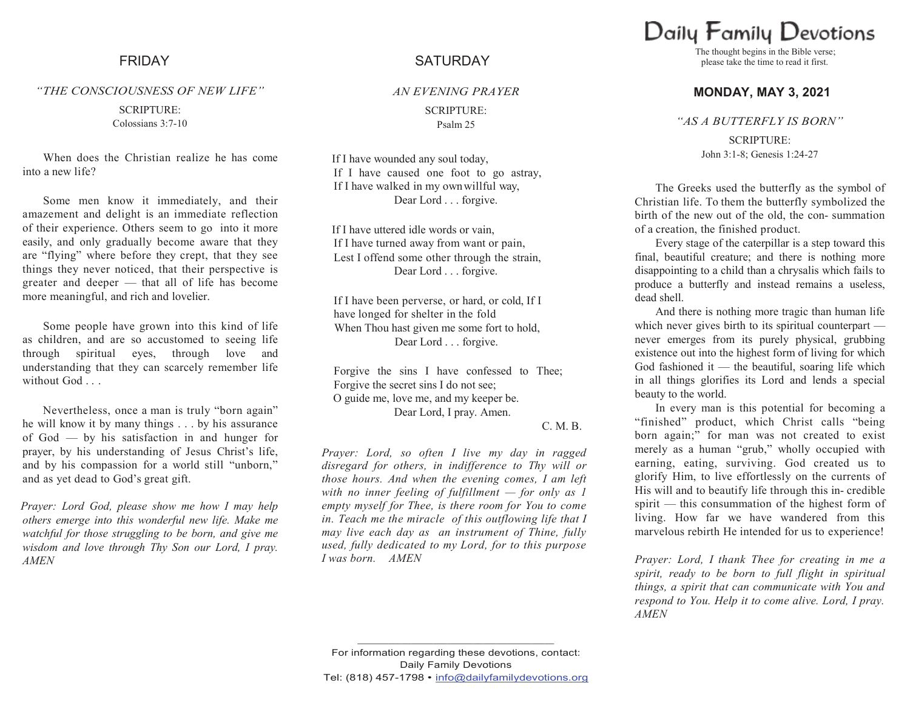#### *"THE CONSCIOUSNESS OF NEW LIFE"*

SCRIPTURE: Colossians 3:7-10

When does the Christian realize he has come into a new life?

Some men know it immediately, and their amazement and delight is an immediate reflection of their experience. Others seem to go into it more easily, and only gradually become aware that they are "flying" where before they crept, that they see things they never noticed, that their perspective is greater and deeper — that all of life has become more meaningful, and rich and lovelier.

Some people have grown into this kind of life as children, and are so accustomed to seeing life through spiritual eyes, through love and understanding that they can scarcely remember life without God . . .

Nevertheless, once a man is truly "born again" he will know it by many things . . . by his assurance of God — by his satisfaction in and hunger for prayer, by his understanding of Jesus Christ's life, and by his compassion for a world still "unborn," and as yet dead to God"s great gift.

*Prayer: Lord God, please show me how I may help others emerge into this wonderful new life. Make me watchful for those struggling to be born, and give me wisdom and love through Thy Son our Lord, I pray. AMEN*

## FRIDAY SATURDAY

*AN EVENING PRAYER* SCRIPTURE: Psalm 25

If I have wounded any soul today, If I have caused one foot to go astray, If I have walked in my ownwillful way, Dear Lord . . . forgive.

If I have uttered idle words or vain, If I have turned away from want or pain, Lest I offend some other through the strain, Dear Lord . . . forgive.

If I have been perverse, or hard, or cold, If I have longed for shelter in the fold When Thou hast given me some fort to hold, Dear Lord . . . forgive.

Forgive the sins I have confessed to Thee; Forgive the secret sins I do not see; O guide me, love me, and my keeper be. Dear Lord, I pray. Amen.

C. M. B.

*Prayer: Lord, so often I live my day in ragged disregard for others, in indifference to Thy will or those hours. And when the evening comes, I am left with no inner feeling of fulfillment — for only as 1 empty myself for Thee, is there room for You to come in. Teach me the miracle of this outflowing life that I may live each day as an instrument of Thine, fully used, fully dedicated to my Lord, for to this purpose I was born. AMEN*

Daily Family Devotions

The thought begins in the Bible verse; please take the time to read it first.

#### **MONDAY, MAY 3, 2021**

*"AS A BUTTERFLY IS BORN"*

SCRIPTURE: John 3:1-8; Genesis 1:24-27

The Greeks used the butterfly as the symbol of Christian life. To them the butterfly symbolized the birth of the new out of the old, the con- summation of a creation, the finished product.

Every stage of the caterpillar is a step toward this final, beautiful creature; and there is nothing more disappointing to a child than a chrysalis which fails to produce a butterfly and instead remains a useless, dead shell.

And there is nothing more tragic than human life which never gives birth to its spiritual counterpart never emerges from its purely physical, grubbing existence out into the highest form of living for which God fashioned it — the beautiful, soaring life which in all things glorifies its Lord and lends a special beauty to the world.

In every man is this potential for becoming a "finished" product, which Christ calls "being born again;" for man was not created to exist merely as a human "grub," wholly occupied with earning, eating, surviving. God created us to glorify Him, to live effortlessly on the currents of His will and to beautify life through this in- credible spirit — this consummation of the highest form of living. How far we have wandered from this marvelous rebirth He intended for us to experience!

*Prayer: Lord, I thank Thee for creating in me a spirit, ready to be born to full flight in spiritual things, a spirit that can communicate with You and respond to You. Help it to come alive. Lord, I pray. AMEN*

**\_\_\_\_\_\_\_\_\_\_\_\_\_\_\_\_\_\_\_\_\_\_\_\_\_\_\_\_\_\_\_\_\_\_\_\_\_\_\_\_\_\_\_\_**